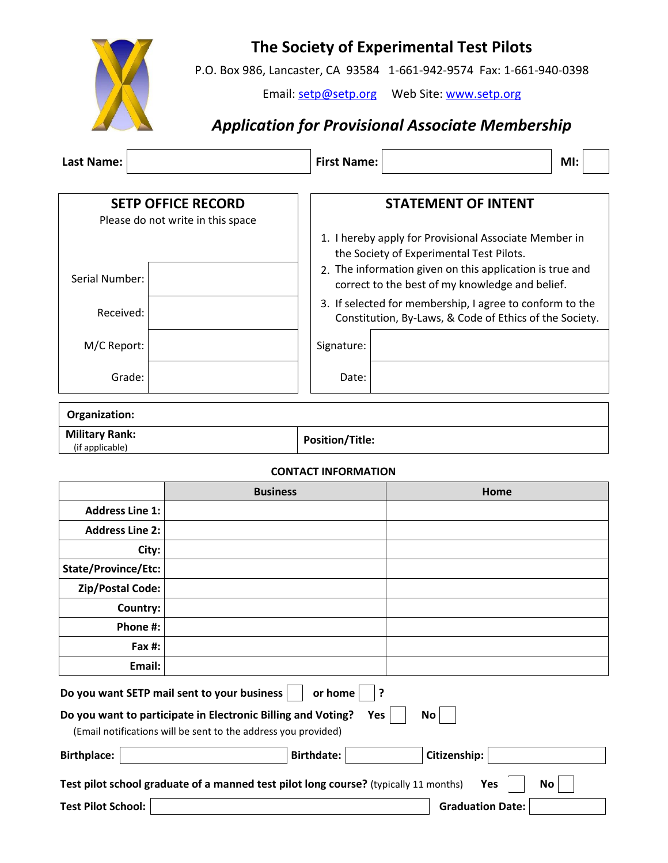

## **The Society of Experimental Test Pilots**

P.O. Box 986, Lancaster, CA 93584 1-661-942-9574 Fax: 1-661-940-0398

Email: [setp@setp.org](mailto:setp@setp.org) Web Site[: www.setp.org](http://www.setp.org/)

## *Application for Provisional Associate Membership*

| <b>Last Name:</b>                                                                                                                                                                                                                                                     |                                                                | <b>First Name:</b>     |      |                                                                                                                                                                                                                                                                                                                                                                       | MI: |
|-----------------------------------------------------------------------------------------------------------------------------------------------------------------------------------------------------------------------------------------------------------------------|----------------------------------------------------------------|------------------------|------|-----------------------------------------------------------------------------------------------------------------------------------------------------------------------------------------------------------------------------------------------------------------------------------------------------------------------------------------------------------------------|-----|
| Serial Number:<br>Received:<br>M/C Report:<br>Grade:                                                                                                                                                                                                                  | <b>SETP OFFICE RECORD</b><br>Please do not write in this space | Signature:<br>Date:    |      | <b>STATEMENT OF INTENT</b><br>1. I hereby apply for Provisional Associate Member in<br>the Society of Experimental Test Pilots.<br>2. The information given on this application is true and<br>correct to the best of my knowledge and belief.<br>3. If selected for membership, I agree to conform to the<br>Constitution, By-Laws, & Code of Ethics of the Society. |     |
| Organization:                                                                                                                                                                                                                                                         |                                                                |                        |      |                                                                                                                                                                                                                                                                                                                                                                       |     |
| <b>Military Rank:</b><br>(if applicable)                                                                                                                                                                                                                              |                                                                | <b>Position/Title:</b> |      |                                                                                                                                                                                                                                                                                                                                                                       |     |
| <b>CONTACT INFORMATION</b>                                                                                                                                                                                                                                            |                                                                |                        |      |                                                                                                                                                                                                                                                                                                                                                                       |     |
| <b>Business</b>                                                                                                                                                                                                                                                       |                                                                |                        | Home |                                                                                                                                                                                                                                                                                                                                                                       |     |
| <b>Address Line 1:</b>                                                                                                                                                                                                                                                |                                                                |                        |      |                                                                                                                                                                                                                                                                                                                                                                       |     |
| <b>Address Line 2:</b>                                                                                                                                                                                                                                                |                                                                |                        |      |                                                                                                                                                                                                                                                                                                                                                                       |     |
| City:                                                                                                                                                                                                                                                                 |                                                                |                        |      |                                                                                                                                                                                                                                                                                                                                                                       |     |
| State/Province/Etc:<br><b>Zip/Postal Code:</b>                                                                                                                                                                                                                        |                                                                |                        |      |                                                                                                                                                                                                                                                                                                                                                                       |     |
| Country:                                                                                                                                                                                                                                                              |                                                                |                        |      |                                                                                                                                                                                                                                                                                                                                                                       |     |
| Phone #:                                                                                                                                                                                                                                                              |                                                                |                        |      |                                                                                                                                                                                                                                                                                                                                                                       |     |
| Fax #:                                                                                                                                                                                                                                                                |                                                                |                        |      |                                                                                                                                                                                                                                                                                                                                                                       |     |
| Email:                                                                                                                                                                                                                                                                |                                                                |                        |      |                                                                                                                                                                                                                                                                                                                                                                       |     |
| Do you want SETP mail sent to your business<br>or home<br>?<br>Do you want to participate in Electronic Billing and Voting?<br>Yes<br>No<br>(Email notifications will be sent to the address you provided)<br>Citizenship:<br><b>Birthplace:</b><br><b>Birthdate:</b> |                                                                |                        |      |                                                                                                                                                                                                                                                                                                                                                                       |     |
|                                                                                                                                                                                                                                                                       |                                                                |                        |      |                                                                                                                                                                                                                                                                                                                                                                       |     |
| Test pilot school graduate of a manned test pilot long course? (typically 11 months)<br>No<br>Yes<br><b>Test Pilot School:</b><br><b>Graduation Date:</b>                                                                                                             |                                                                |                        |      |                                                                                                                                                                                                                                                                                                                                                                       |     |